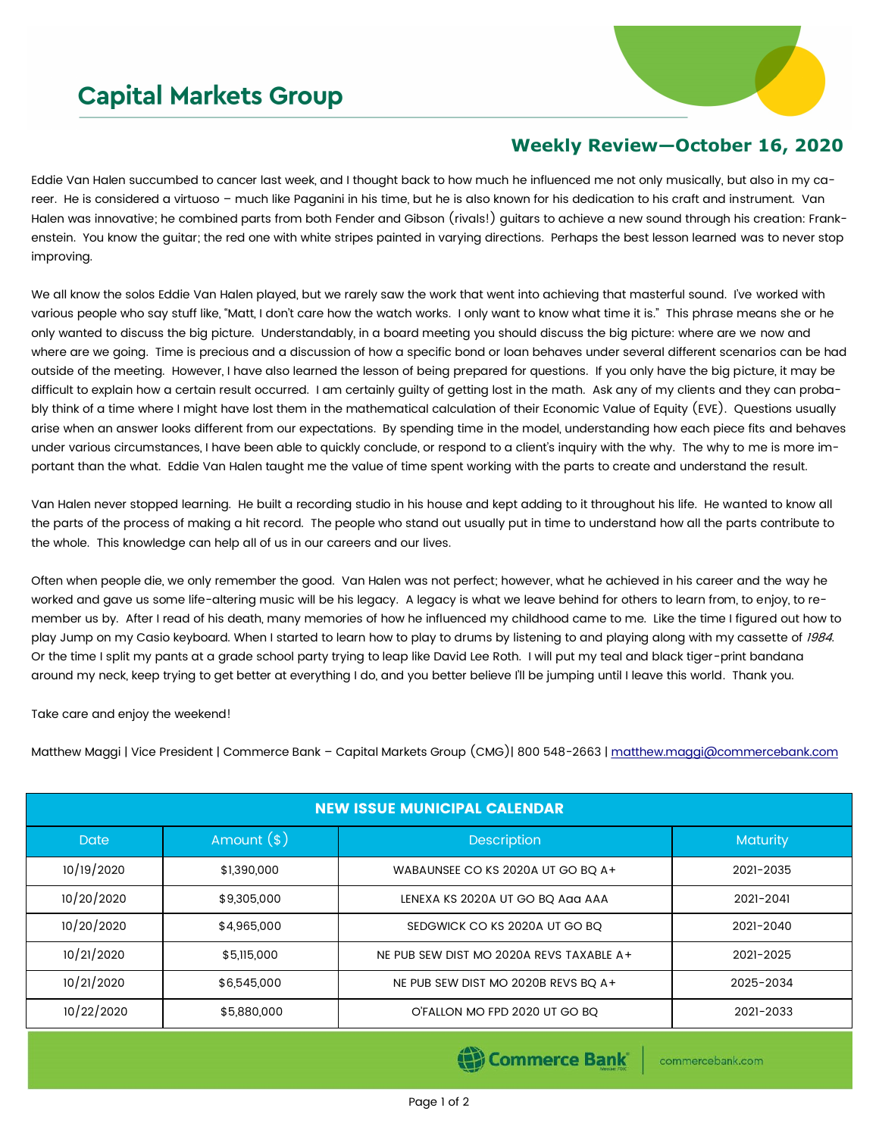## **Capital Markets Group**



## **Weekly Review—October 16, 2020**

Eddie Van Halen succumbed to cancer last week, and I thought back to how much he influenced me not only musically, but also in my career. He is considered a virtuoso – much like Paganini in his time, but he is also known for his dedication to his craft and instrument. Van Halen was innovative; he combined parts from both Fender and Gibson (rivals!) guitars to achieve a new sound through his creation: Frankenstein. You know the guitar; the red one with white stripes painted in varying directions. Perhaps the best lesson learned was to never stop improving.

We all know the solos Eddie Van Halen played, but we rarely saw the work that went into achieving that masterful sound. I've worked with various people who say stuff like, "Matt, I don't care how the watch works. I only want to know what time it is." This phrase means she or he only wanted to discuss the big picture. Understandably, in a board meeting you should discuss the big picture: where are we now and where are we going. Time is precious and a discussion of how a specific bond or loan behaves under several different scenarios can be had outside of the meeting. However, I have also learned the lesson of being prepared for questions. If you only have the big picture, it may be difficult to explain how a certain result occurred. I am certainly guilty of getting lost in the math. Ask any of my clients and they can probably think of a time where I might have lost them in the mathematical calculation of their Economic Value of Equity (EVE). Questions usually arise when an answer looks different from our expectations. By spending time in the model, understanding how each piece fits and behaves under various circumstances, I have been able to quickly conclude, or respond to a client's inquiry with the why. The why to me is more important than the what. Eddie Van Halen taught me the value of time spent working with the parts to create and understand the result.

Van Halen never stopped learning. He built a recording studio in his house and kept adding to it throughout his life. He wanted to know all the parts of the process of making a hit record. The people who stand out usually put in time to understand how all the parts contribute to the whole. This knowledge can help all of us in our careers and our lives.

Often when people die, we only remember the good. Van Halen was not perfect; however, what he achieved in his career and the way he worked and gave us some life-altering music will be his legacy. A legacy is what we leave behind for others to learn from, to enjoy, to remember us by. After I read of his death, many memories of how he influenced my childhood came to me. Like the time I figured out how to play Jump on my Casio keyboard. When I started to learn how to play to drums by listening to and playing along with my cassette of 1984. Or the time I split my pants at a grade school party trying to leap like David Lee Roth. I will put my teal and black tiger-print bandana around my neck, keep trying to get better at everything I do, and you better believe I'll be jumping until I leave this world. Thank you.

Take care and enjoy the weekend!

Matthew Maggi | Vice President | Commerce Bank – Capital Markets Group (CMG)| 800 548-2663 | [matthew.maggi@commercebank.com](mailto:matthew.maggi@commercebank.com)

| <b>NEW ISSUE MUNICIPAL CALENDAR</b> |              |                                          |                 |  |  |  |
|-------------------------------------|--------------|------------------------------------------|-----------------|--|--|--|
| <b>Date</b>                         | Amount $(*)$ | <b>Description</b>                       | <b>Maturity</b> |  |  |  |
| 10/19/2020                          | \$1,390,000  | WABAUNSEE CO KS 2020A UT GO BQ A+        | 2021-2035       |  |  |  |
| 10/20/2020                          | \$9,305,000  | LENEXA KS 2020A UT GO BQ AQQ AAA         | 2021-2041       |  |  |  |
| 10/20/2020                          | \$4,965,000  | SEDGWICK CO KS 2020A UT GO BQ            | 2021-2040       |  |  |  |
| 10/21/2020                          | \$5,115,000  | NE PUB SEW DIST MO 2020A REVS TAXABLE A+ | 2021-2025       |  |  |  |
| 10/21/2020                          | \$6,545,000  | NE PUB SEW DIST MO 2020B REVS BO A+      | 2025-2034       |  |  |  |
| 10/22/2020                          | \$5,880,000  | O'FALLON MO FPD 2020 UT GO BQ            | 2021-2033       |  |  |  |

Commerce Bank

commercebank.com